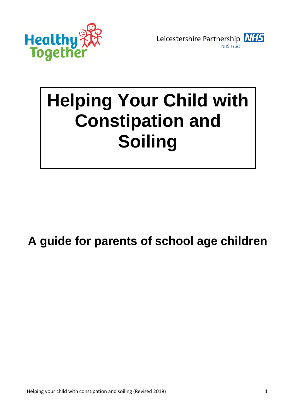



# **Helping Your Child with Constipation and Soiling**

# **A guide for parents of school age children**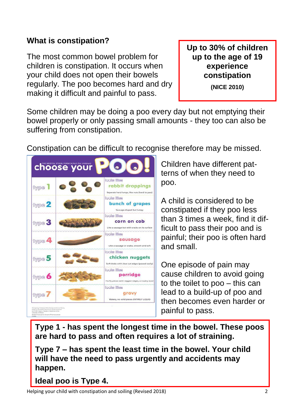### **What is constipation?**

The most common bowel problem for children is constipation. It occurs when your child does not open their bowels regularly. The poo becomes hard and dry making it difficult and painful to pass.

**Up to 30% of children up to the age of 19 experience constipation** 

**(NICE 2010)**

Some children may be doing a poo every day but not emptying their bowel properly or only passing small amounts - they too can also be suffering from constipation.

Constipation can be difficult to recognise therefore may be missed.

|             | <b><i><u>Cooks Ifflase</u></i></b>                                                          |
|-------------|---------------------------------------------------------------------------------------------|
| twpe        | rabbit droppings<br>Separate hard lumps, like nuts (hard to pass)                           |
| type 2      | looks like<br>bunch of grapes<br>Sausage-shaped but lumpy                                   |
| type 3      | <b>Icolss likes</b><br>corn on cob<br>Like a sausage but with cracks on its surface         |
| O(g)        | <b>Iccles likes</b><br>sausage<br>Like a sausage or snake, smooth and soft                  |
| type 5      | <b>Inclus lilitae</b><br>chicken nuggets<br>Soft blobs with clear-cut edges (passed easily) |
| type 6      | <b>Icels like</b><br>porridge<br>Fluffy pieces with ragged edges, a mushy stool             |
| <b>TWD®</b> | <b>Icolas Mage</b><br>aravy<br>Watery, no solid pieces ENTIRELY LIQUID                      |

Children have different patterns of when they need to poo.

A child is considered to be constipated if they poo less than 3 times a week, find it difficult to pass their poo and is painful; their poo is often hard and small.

One episode of pain may cause children to avoid going to the toilet to poo – this can lead to a build-up of poo and then becomes even harder or painful to pass.

**Type 1 - has spent the longest time in the bowel. These poos are hard to pass and often requires a lot of straining.**

**Type 7 – has spent the least time in the bowel. Your child will have the need to pass urgently and accidents may happen.**

**Ideal poo is Type 4.**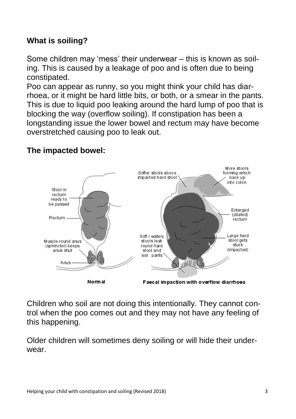# **What is soiling?**

Some children may 'mess' their underwear – this is known as soiling. This is caused by a leakage of poo and is often due to being constipated.

Poo can appear as runny, so you might think your child has diarrhoea, or it might be hard little bits, or both, or a smear in the pants. This is due to liquid poo leaking around the hard lump of poo that is blocking the way (overflow soiling). If constipation has been a longstanding issue the lower bowel and rectum may have become overstretched causing poo to leak out.



# **The impacted bowel:**

Children who soil are not doing this intentionally. They cannot control when the poo comes out and they may not have any feeling of this happening.

Older children will sometimes deny soiling or will hide their underwear.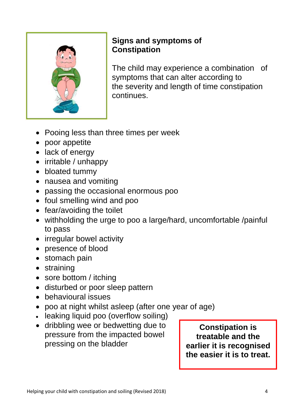

# **Signs and symptoms of Constipation**

The child may experience a combination of symptoms that can alter according to the severity and length of time constipation continues.

- Pooing less than three times per week
- poor appetite
- lack of energy
- irritable / unhappy
- bloated tummy
- nausea and vomiting
- passing the occasional enormous poo
- foul smelling wind and poo
- fear/avoiding the toilet
- withholding the urge to poo a large/hard, uncomfortable /painful to pass
- irregular bowel activity
- presence of blood
- stomach pain
- straining
- sore bottom / itching
- disturbed or poor sleep pattern
- behavioural issues
- poo at night whilst asleep (after one year of age)
- leaking liquid poo (overflow soiling)
- dribbling wee or bedwetting due to pressure from the impacted bowel pressing on the bladder

**Constipation is treatable and the earlier it is recognised the easier it is to treat.**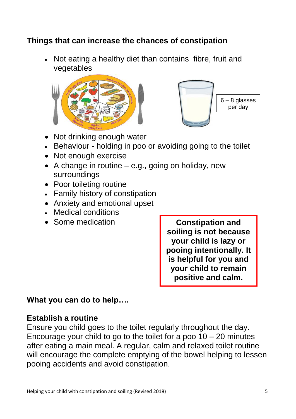### **Things that can increase the chances of constipation**

• Not eating a healthy diet than contains fibre, fruit and vegetables





- Not drinking enough water
- Behaviour holding in poo or avoiding going to the toilet
- Not enough exercise
- A change in routine  $-$  e.g., going on holiday, new surroundings
- Poor toileting routine
- Family history of constipation
- Anxiety and emotional upset
- Medical conditions
- Some medication

**Constipation and soiling is not because your child is lazy or pooing intentionally. It is helpful for you and your child to remain positive and calm.**

# **What you can do to help….**

#### **Establish a routine**

Ensure you child goes to the toilet regularly throughout the day. Encourage your child to go to the toilet for a poo  $10 - 20$  minutes after eating a main meal. A regular, calm and relaxed toilet routine will encourage the complete emptying of the bowel helping to lessen pooing accidents and avoid constipation.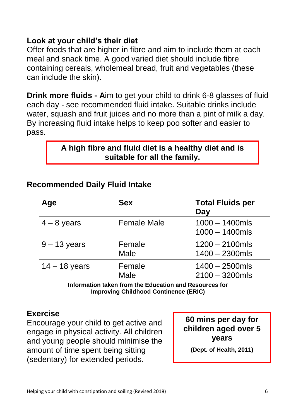#### **Look at your child's their diet**

Offer foods that are higher in fibre and aim to include them at each meal and snack time. A good varied diet should include fibre containing cereals, wholemeal bread, fruit and vegetables (these can include the skin).

**Drink more fluids - A**im to get your child to drink 6-8 glasses of fluid each day - see recommended fluid intake. Suitable drinks include water, squash and fruit juices and no more than a pint of milk a day. By increasing fluid intake helps to keep poo softer and easier to pass.

### **A high fibre and fluid diet is a healthy diet and is suitable for all the family.**

| Age             | <b>Sex</b>            | <b>Total Fluids per</b><br>Day         |
|-----------------|-----------------------|----------------------------------------|
| $4 - 8$ years   | <b>Female Male</b>    | $1000 - 1400$ mls<br>$1000 - 1400$ mls |
| $9 - 13$ years  | Female<br><b>Male</b> | $1200 - 2100$ mls<br>$1400 - 2300$ mls |
| $14 - 18$ years | Female<br><b>Male</b> | $1400 - 2500$ mls<br>$2100 - 3200$ mls |

#### **Recommended Daily Fluid Intake**

**Information taken from the Education and Resources for Improving Childhood Continence (ERIC)**

#### **Exercise**

Encourage your child to get active and engage in physical activity. All children and young people should minimise the amount of time spent being sitting (sedentary) for extended periods.

**60 mins per day for children aged over 5 years**

**(Dept. of Health, 2011)**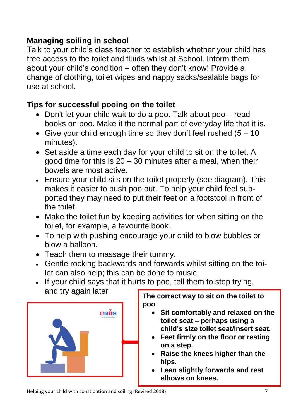# **Managing soiling in school**

Talk to your child's class teacher to establish whether your child has free access to the toilet and fluids whilst at School. Inform them about your child's condition – often they don't know! Provide a change of clothing, toilet wipes and nappy sacks/sealable bags for use at school.

# **Tips for successful pooing on the toilet**

- Don't let your child wait to do a poo. Talk about poo read books on poo. Make it the normal part of everyday life that it is.
- Give your child enough time so they don't feel rushed  $(5 10)$ minutes).
- Set aside a time each day for your child to sit on the toilet. A good time for this is  $20 - 30$  minutes after a meal, when their bowels are most active.
- Ensure your child sits on the toilet properly (see diagram). This makes it easier to push poo out. To help your child feel supported they may need to put their feet on a footstool in front of the toilet.
- Make the toilet fun by keeping activities for when sitting on the toilet, for example, a favourite book.
- To help with pushing encourage your child to blow bubbles or blow a balloon.
- Teach them to massage their tummy.
- Gentle rocking backwards and forwards whilst sitting on the toilet can also help; this can be done to music.
- If your child says that it hurts to poo, tell them to stop trying, and try again later **The correct way to sit on the toilet to**



**poo**

- **Sit comfortably and relaxed on the toilet seat – perhaps using a child's size toilet seat/insert seat.**
- **Feet firmly on the floor or resting on a step.**
- **Raise the knees higher than the hips.**
- **Lean slightly forwards and rest elbows on knees.**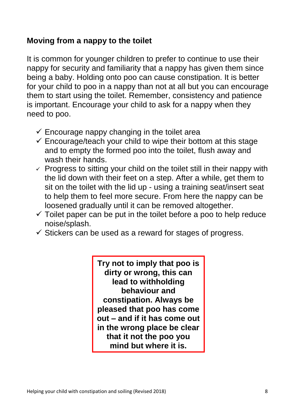#### **Moving from a nappy to the toilet**

It is common for younger children to prefer to continue to use their nappy for security and familiarity that a nappy has given them since being a baby. Holding onto poo can cause constipation. It is better for your child to poo in a nappy than not at all but you can encourage them to start using the toilet. Remember, consistency and patience is important. Encourage your child to ask for a nappy when they need to poo.

- $\checkmark$  Encourage nappy changing in the toilet area
- $\checkmark$  Encourage/teach your child to wipe their bottom at this stage and to empty the formed poo into the toilet, flush away and wash their hands.
- $\checkmark$  Progress to sitting your child on the toilet still in their nappy with the lid down with their feet on a step. After a while, get them to sit on the toilet with the lid up - using a training seat/insert seat to help them to feel more secure. From here the nappy can be loosened gradually until it can be removed altogether.
- $\checkmark$  Toilet paper can be put in the toilet before a poo to help reduce noise/splash.
- $\checkmark$  Stickers can be used as a reward for stages of progress.

**Try not to imply that poo is dirty or wrong, this can lead to withholding behaviour and constipation. Always be pleased that poo has come out – and if it has come out in the wrong place be clear that it not the poo you mind but where it is.**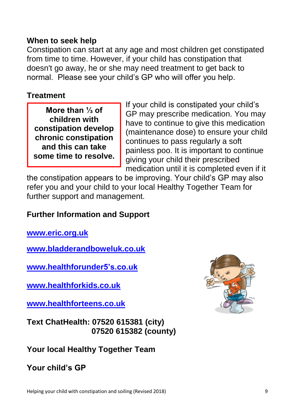#### **When to seek help**

Constipation can start at any age and most children get constipated from time to time. However, if your child has constipation that doesn't go away, he or she may need treatment to get back to normal. Please see your child's GP who will offer you help.

#### **Treatment**

**More than ⅓ of children with constipation develop chronic constipation and this can take some time to resolve.**

If your child is constipated your child's GP may prescribe medication. You may have to continue to give this medication (maintenance dose) to ensure your child continues to pass regularly a soft painless poo. It is important to continue giving your child their prescribed medication until it is completed even if it

the constipation appears to be improving. Your child's GP may also refer you and your child to your local Healthy Together Team for further support and management.

#### **Further Information and Support**

**www.eric.org.uk**

**[www.bladderandboweluk.co.uk](http://www.bladderandboweluk.co.uk/)**

**[www.healthforunder5's.co.uk](http://www.healthforunder5)**

**[www.healthforkids.co.uk](http://www.healthforkids.co.uk/)**

**www.healthforteens.co.uk**

**Text ChatHealth: 07520 615381 (city) 07520 615382 (county)**

# **Your local Healthy Together Team**

**Your child's GP**